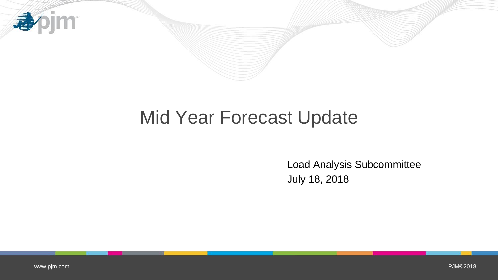

## Mid Year Forecast Update

Load Analysis Subcommittee July 18, 2018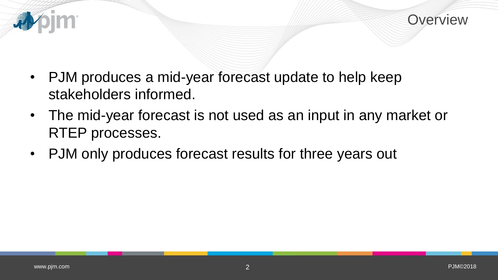

- PJM produces a mid-year forecast update to help keep stakeholders informed.
- The mid-year forecast is not used as an input in any market or RTEP processes.
- PJM only produces forecast results for three years out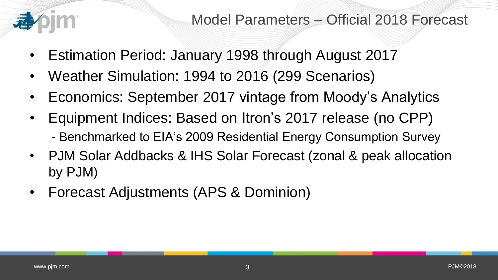

- Estimation Period: January 1998 through August 2017
- Weather Simulation: 1994 to 2016 (299 Scenarios)
- Economics: September 2017 vintage from Moody's Analytics
- Equipment Indices: Based on Itron's 2017 release (no CPP) - Benchmarked to EIA's 2009 Residential Energy Consumption Survey
- PJM Solar Addbacks & IHS Solar Forecast (zonal & peak allocation by PJM)
- Forecast Adjustments (APS & Dominion)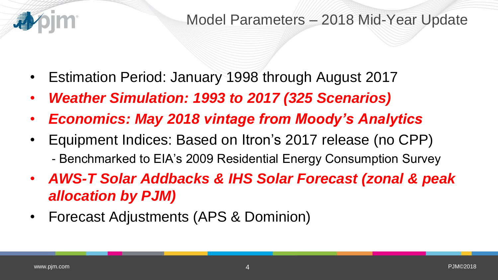

- Estimation Period: January 1998 through August 2017
- *Weather Simulation: 1993 to 2017 (325 Scenarios)*
- *Economics: May 2018 vintage from Moody's Analytics*
- Equipment Indices: Based on Itron's 2017 release (no CPP) - Benchmarked to EIA's 2009 Residential Energy Consumption Survey
- *AWS-T Solar Addbacks & IHS Solar Forecast (zonal & peak allocation by PJM)*
- Forecast Adjustments (APS & Dominion)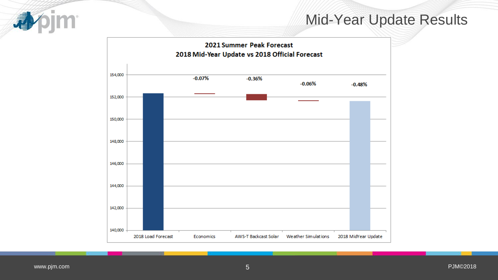

## Mid-Year Update Results

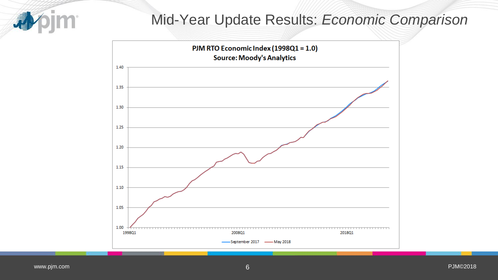

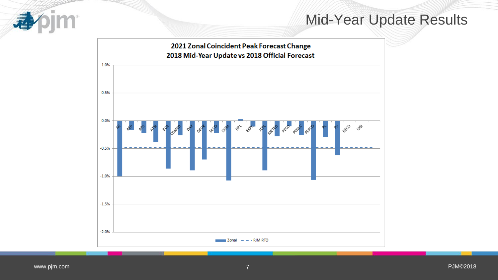